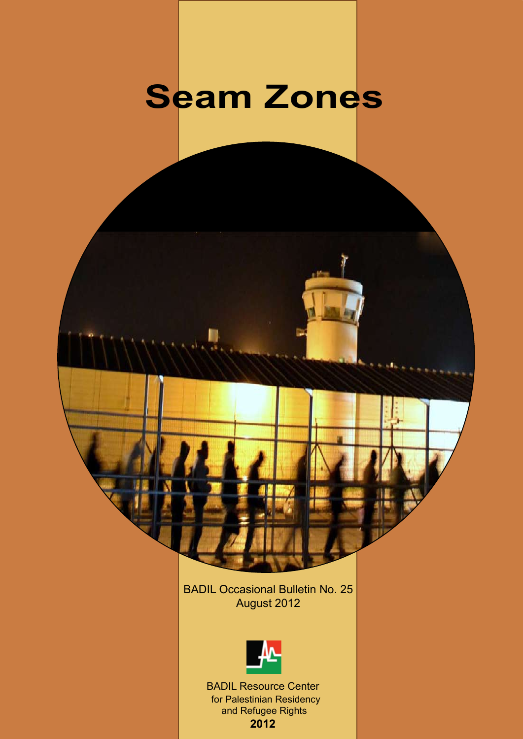# **Seam Zones**

n

BADIL Occasional Bulletin No. 25 August 2012



BADIL Resource Center for Palestinian Residency and Refugee Rights **2012**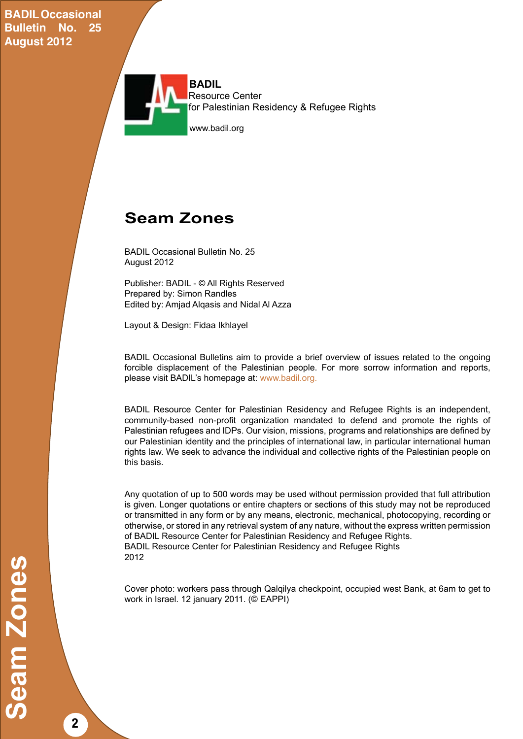**BADIL Occasional Bulletin No. 25 August 2012**



# **Seam Zones**

BADIL Occasional Bulletin No. 25 August 2012

Publisher: BADIL - © All Rights Reserved Prepared by: Simon Randles Edited by: Amjad Alqasis and Nidal Al Azza

Layout & Design: Fidaa Ikhlayel

BADIL Occasional Bulletins aim to provide a brief overview of issues related to the ongoing forcible displacement of the Palestinian people. For more sorrow information and reports, please visit BADIL's homepage at: www.badil.org.

BADIL Resource Center for Palestinian Residency and Refugee Rights is an independent, community-based non-profit organization mandated to defend and promote the rights of Palestinian refugees and IDPs. Our vision, missions, programs and relationships are defined by our Palestinian identity and the principles of international law, in particular international human rights law. We seek to advance the individual and collective rights of the Palestinian people on this basis.

Any quotation of up to 500 words may be used without permission provided that full attribution is given. Longer quotations or entire chapters or sections of this study may not be reproduced or transmitted in any form or by any means, electronic, mechanical, photocopying, recording or otherwise, or stored in any retrieval system of any nature, without the express written permission of BADIL Resource Center for Palestinian Residency and Refugee Rights. BADIL Resource Center for Palestinian Residency and Refugee Rights 2012

Cover photo: workers pass through Qalqilya checkpoint, occupied west Bank, at 6am to get to work in Israel. 12 january 2011. (© EAPPI)

**2**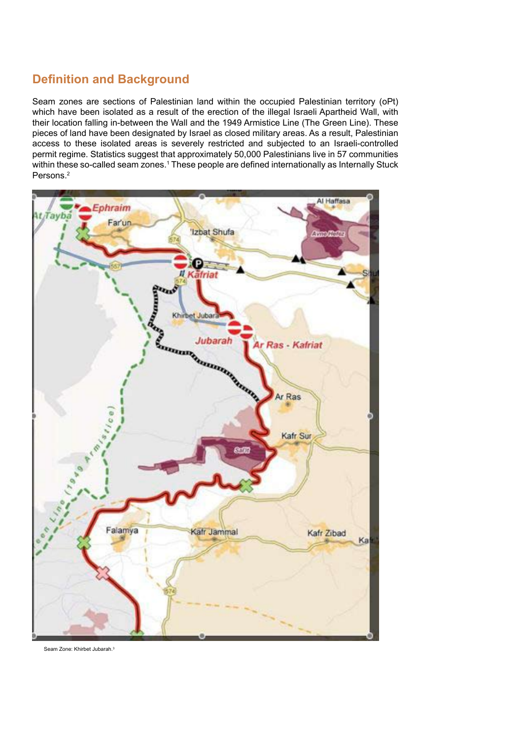# **Definition and Background**

Seam zones are sections of Palestinian land within the occupied Palestinian territory (oPt) which have been isolated as a result of the erection of the illegal Israeli Apartheid Wall, with their location falling in-between the Wall and the 1949 Armistice Line (The Green Line). These pieces of land have been designated by Israel as closed military areas. As a result, Palestinian access to these isolated areas is severely restricted and subjected to an Israeli-controlled permit regime. Statistics suggest that approximately 50,000 Palestinians live in 57 communities within these so-called seam zones.<sup>1</sup> These people are defined internationally as Internally Stuck Persons.2



Seam Zone: Khirbet Jubarah.3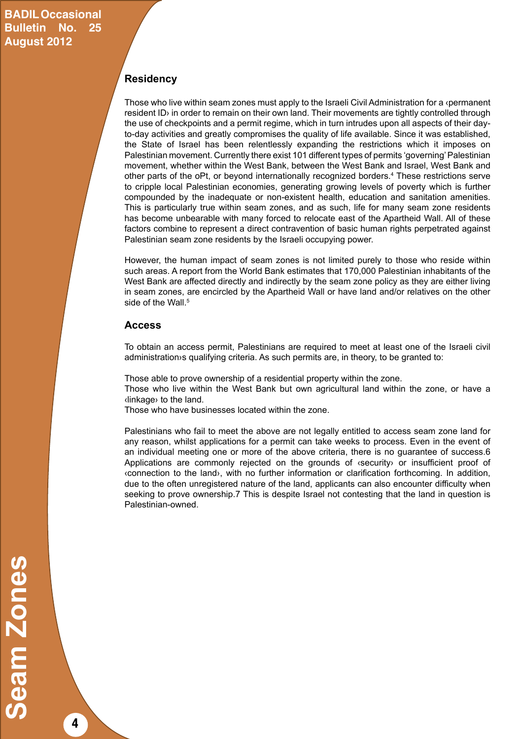### **Residency**

Those who live within seam zones must apply to the Israeli Civil Administration for a ‹permanent resident ID› in order to remain on their own land. Their movements are tightly controlled through the use of checkpoints and a permit regime, which in turn intrudes upon all aspects of their dayto-day activities and greatly compromises the quality of life available. Since it was established, the State of Israel has been relentlessly expanding the restrictions which it imposes on Palestinian movement. Currently there exist 101 different types of permits 'governing' Palestinian movement, whether within the West Bank, between the West Bank and Israel, West Bank and other parts of the oPt, or beyond internationally recognized borders.4 These restrictions serve to cripple local Palestinian economies, generating growing levels of poverty which is further compounded by the inadequate or non-existent health, education and sanitation amenities. This is particularly true within seam zones, and as such, life for many seam zone residents has become unbearable with many forced to relocate east of the Apartheid Wall. All of these factors combine to represent a direct contravention of basic human rights perpetrated against Palestinian seam zone residents by the Israeli occupying power.

However, the human impact of seam zones is not limited purely to those who reside within such areas. A report from the World Bank estimates that 170,000 Palestinian inhabitants of the West Bank are affected directly and indirectly by the seam zone policy as they are either living in seam zones, are encircled by the Apartheid Wall or have land and/or relatives on the other side of the Wall.<sup>5</sup>

#### **Access**

To obtain an access permit, Palestinians are required to meet at least one of the Israeli civil administration›s qualifying criteria. As such permits are, in theory, to be granted to:

Those able to prove ownership of a residential property within the zone.

Those who live within the West Bank but own agricultural land within the zone, or have a ‹linkage› to the land.

Those who have businesses located within the zone.

Palestinians who fail to meet the above are not legally entitled to access seam zone land for any reason, whilst applications for a permit can take weeks to process. Even in the event of an individual meeting one or more of the above criteria, there is no guarantee of success.6 Applications are commonly rejected on the grounds of ‹security› or insufficient proof of ‹connection to the land›, with no further information or clarification forthcoming. In addition, due to the often unregistered nature of the land, applicants can also encounter difficulty when seeking to prove ownership.7 This is despite Israel not contesting that the land in question is Palestinian-owned.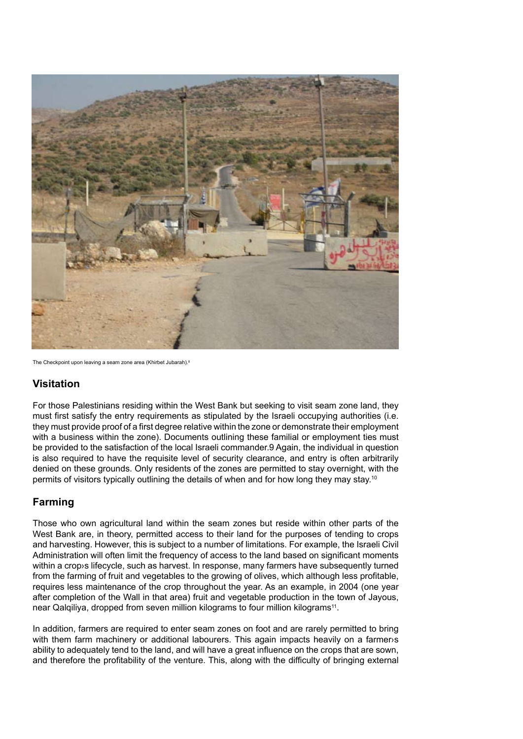

The Checkpoint upon leaving a seam zone area (Khirbet Jubarah).<sup>8</sup>

### **Visitation**

For those Palestinians residing within the West Bank but seeking to visit seam zone land, they must first satisfy the entry requirements as stipulated by the Israeli occupying authorities (i.e. they must provide proof of a first degree relative within the zone or demonstrate their employment with a business within the zone). Documents outlining these familial or employment ties must be provided to the satisfaction of the local Israeli commander.9 Again, the individual in question is also required to have the requisite level of security clearance, and entry is often arbitrarily denied on these grounds. Only residents of the zones are permitted to stay overnight, with the permits of visitors typically outlining the details of when and for how long they may stay.10

### **Farming**

Those who own agricultural land within the seam zones but reside within other parts of the West Bank are, in theory, permitted access to their land for the purposes of tending to crops and harvesting. However, this is subject to a number of limitations. For example, the Israeli Civil Administration will often limit the frequency of access to the land based on significant moments within a crop›s lifecycle, such as harvest. In response, many farmers have subsequently turned from the farming of fruit and vegetables to the growing of olives, which although less profitable, requires less maintenance of the crop throughout the year. As an example, in 2004 (one year after completion of the Wall in that area) fruit and vegetable production in the town of Jayous, near Qalqiliya, dropped from seven million kilograms to four million kilograms<sup>11</sup>.

In addition, farmers are required to enter seam zones on foot and are rarely permitted to bring with them farm machinery or additional labourers. This again impacts heavily on a farmery's ability to adequately tend to the land, and will have a great influence on the crops that are sown, and therefore the profitability of the venture. This, along with the difficulty of bringing external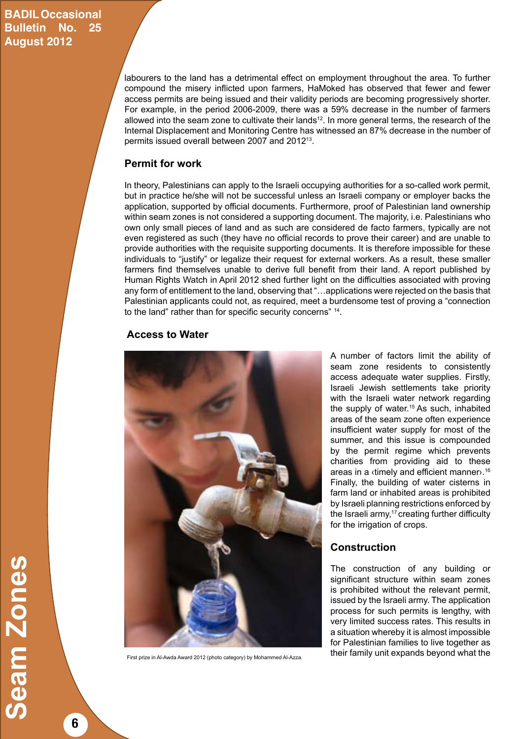## **BADIL Occasional Bulletin No. 25 August 2012**

labourers to the land has a detrimental effect on employment throughout the area. To further compound the misery inflicted upon farmers, HaMoked has observed that fewer and fewer access permits are being issued and their validity periods are becoming progressively shorter. For example, in the period 2006-2009, there was a 59% decrease in the number of farmers allowed into the seam zone to cultivate their lands<sup>12</sup>. In more general terms, the research of the Internal Displacement and Monitoring Centre has witnessed an 87% decrease in the number of permits issued overall between 2007 and 201213.

### **Permit for work**

In theory, Palestinians can apply to the Israeli occupying authorities for a so-called work permit, but in practice he/she will not be successful unless an Israeli company or employer backs the application, supported by official documents. Furthermore, proof of Palestinian land ownership within seam zones is not considered a supporting document. The majority, i.e. Palestinians who own only small pieces of land and as such are considered de facto farmers, typically are not even registered as such (they have no official records to prove their career) and are unable to provide authorities with the requisite supporting documents. It is therefore impossible for these individuals to "justify" or legalize their request for external workers. As a result, these smaller farmers find themselves unable to derive full benefit from their land. A report published by Human Rights Watch in April 2012 shed further light on the difficulties associated with proving any form of entitlement to the land, observing that "…applications were rejected on the basis that Palestinian applicants could not, as required, meet a burdensome test of proving a "connection to the land" rather than for specific security concerns" 14.

#### **Access to Water**



A number of factors limit the ability of seam zone residents to consistently access adequate water supplies. Firstly, Israeli Jewish settlements take priority with the Israeli water network regarding the supply of water.15 As such, inhabited areas of the seam zone often experience insufficient water supply for most of the summer, and this issue is compounded by the permit regime which prevents charities from providing aid to these areas in a «timely and efficient manner».<sup>16</sup> Finally, the building of water cisterns in farm land or inhabited areas is prohibited by Israeli planning restrictions enforced by the Israeli army, $17$  creating further difficulty for the irrigation of crops.

### **Construction**

The construction of any building or significant structure within seam zones is prohibited without the relevant permit, issued by the Israeli army. The application process for such permits is lengthy, with very limited success rates. This results in a situation whereby it is almost impossible for Palestinian families to live together as their family unit expands beyond what the First prize in Al-Awda Award 2012 (photo category) by Mohammed Al-Azza.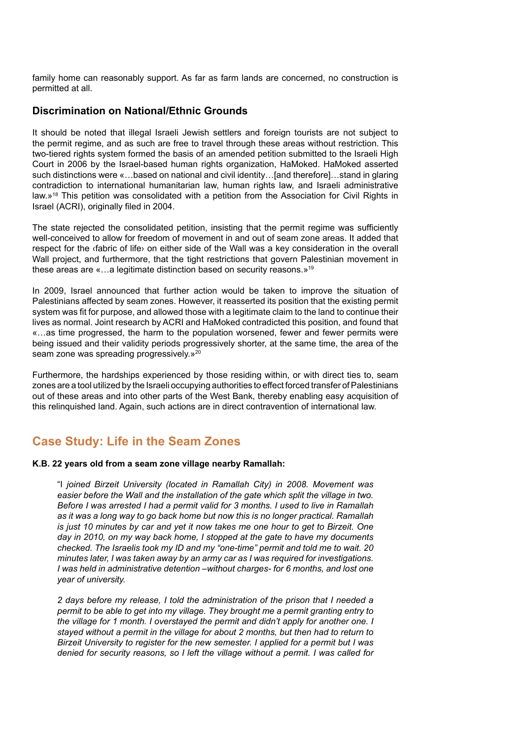family home can reasonably support. As far as farm lands are concerned, no construction is permitted at all.

#### **Discrimination on National/Ethnic Grounds**

It should be noted that illegal Israeli Jewish settlers and foreign tourists are not subject to the permit regime, and as such are free to travel through these areas without restriction. This two-tiered rights system formed the basis of an amended petition submitted to the Israeli High Court in 2006 by the Israel-based human rights organization, HaMoked. HaMoked asserted such distinctions were «…based on national and civil identity…[and therefore]…stand in glaring contradiction to international humanitarian law, human rights law, and Israeli administrative law.»18 This petition was consolidated with a petition from the Association for Civil Rights in Israel (ACRI), originally filed in 2004.

The state rejected the consolidated petition, insisting that the permit regime was sufficiently well-conceived to allow for freedom of movement in and out of seam zone areas. It added that respect for the ‹fabric of life› on either side of the Wall was a key consideration in the overall Wall project, and furthermore, that the tight restrictions that govern Palestinian movement in these areas are «…a legitimate distinction based on security reasons.»19

In 2009, Israel announced that further action would be taken to improve the situation of Palestinians affected by seam zones. However, it reasserted its position that the existing permit system was fit for purpose, and allowed those with a legitimate claim to the land to continue their lives as normal. Joint research by ACRI and HaMoked contradicted this position, and found that «…as time progressed, the harm to the population worsened, fewer and fewer permits were being issued and their validity periods progressively shorter, at the same time, the area of the seam zone was spreading progressively.»<sup>20</sup>

Furthermore, the hardships experienced by those residing within, or with direct ties to, seam zones are a tool utilized by the Israeli occupying authorities to effect forced transfer of Palestinians out of these areas and into other parts of the West Bank, thereby enabling easy acquisition of this relinquished land. Again, such actions are in direct contravention of international law.

## **Case Study: Life in the Seam Zones**

#### **K.B. 22 years old from a seam zone village nearby Ramallah:**

"I *joined Birzeit University (located in Ramallah City) in 2008. Movement was*  easier before the Wall and the installation of the gate which split the village in two. *Before I was arrested I had a permit valid for 3 months. I used to live in Ramallah as it was a long way to go back home but now this is no longer practical. Ramallah is just 10 minutes by car and yet it now takes me one hour to get to Birzeit. One day in 2010, on my way back home, I stopped at the gate to have my documents checked. The Israelis took my ID and my "one-time" permit and told me to wait. 20 minutes later, I was taken away by an army car as I was required for investigations. I was held in administrative detention –without charges- for 6 months, and lost one year of university.*

*2 days before my release, I told the administration of the prison that I needed a permit to be able to get into my village. They brought me a permit granting entry to the village for 1 month. I overstayed the permit and didn't apply for another one. I stayed without a permit in the village for about 2 months, but then had to return to Birzeit University to register for the new semester. I applied for a permit but I was denied for security reasons, so I left the village without a permit. I was called for*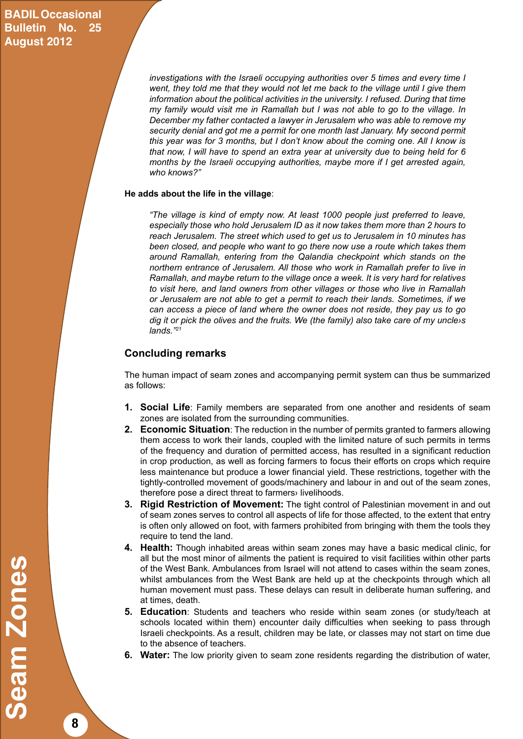## **BADIL Occasional Bulletin No. 25 August 2012**

*investigations with the Israeli occupying authorities over 5 times and every time I went, they told me that they would not let me back to the village until I give them information about the political activities in the university. I refused. During that time my family would visit me in Ramallah but I was not able to go to the village. In December my father contacted a lawyer in Jerusalem who was able to remove my security denial and got me a permit for one month last January. My second permit this year was for 3 months, but I don't know about the coming one. All I know is that now, I will have to spend an extra year at university due to being held for 6 months by the Israeli occupying authorities, maybe more if I get arrested again, who knows?"*

#### **He adds about the life in the village**:

*"The village is kind of empty now. At least 1000 people just preferred to leave, especially those who hold Jerusalem ID as it now takes them more than 2 hours to reach Jerusalem. The street which used to get us to Jerusalem in 10 minutes has been closed, and people who want to go there now use a route which takes them around Ramallah, entering from the Qalandia checkpoint which stands on the northern entrance of Jerusalem. All those who work in Ramallah prefer to live in Ramallah, and maybe return to the village once a week. It is very hard for relatives to visit here, and land owners from other villages or those who live in Ramallah or Jerusalem are not able to get a permit to reach their lands. Sometimes, if we can access a piece of land where the owner does not reside, they pay us to go dig it or pick the olives and the fruits. We (the family) also take care of my uncle›s lands."21*

#### **Concluding remarks**

The human impact of seam zones and accompanying permit system can thus be summarized as follows:

- **1. Social Life**: Family members are separated from one another and residents of seam zones are isolated from the surrounding communities.
- **2. Economic Situation**: The reduction in the number of permits granted to farmers allowing them access to work their lands, coupled with the limited nature of such permits in terms of the frequency and duration of permitted access, has resulted in a significant reduction in crop production, as well as forcing farmers to focus their efforts on crops which require less maintenance but produce a lower financial yield. These restrictions, together with the tightly-controlled movement of goods/machinery and labour in and out of the seam zones, therefore pose a direct threat to farmers› livelihoods.
- **3. Rigid Restriction of Movement:** The tight control of Palestinian movement in and out of seam zones serves to control all aspects of life for those affected, to the extent that entry is often only allowed on foot, with farmers prohibited from bringing with them the tools they require to tend the land.
- **4. Health:** Though inhabited areas within seam zones may have a basic medical clinic, for all but the most minor of ailments the patient is required to visit facilities within other parts of the West Bank. Ambulances from Israel will not attend to cases within the seam zones, whilst ambulances from the West Bank are held up at the checkpoints through which all human movement must pass. These delays can result in deliberate human suffering, and at times, death.
- **5. Education**: Students and teachers who reside within seam zones (or study/teach at schools located within them) encounter daily difficulties when seeking to pass through Israeli checkpoints. As a result, children may be late, or classes may not start on time due to the absence of teachers.
- **6. Water:** The low priority given to seam zone residents regarding the distribution of water,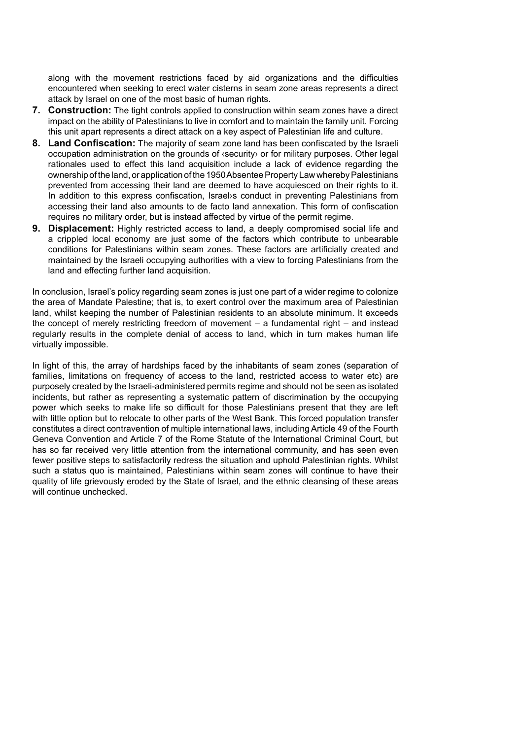along with the movement restrictions faced by aid organizations and the difficulties encountered when seeking to erect water cisterns in seam zone areas represents a direct attack by Israel on one of the most basic of human rights.

- **7. Construction:** The tight controls applied to construction within seam zones have a direct impact on the ability of Palestinians to live in comfort and to maintain the family unit. Forcing this unit apart represents a direct attack on a key aspect of Palestinian life and culture.
- **8. Land Confiscation:** The majority of seam zone land has been confiscated by the Israeli occupation administration on the grounds of ‹security› or for military purposes. Other legal rationales used to effect this land acquisition include a lack of evidence regarding the ownership of the land, or application of the 1950 Absentee Property Law whereby Palestinians prevented from accessing their land are deemed to have acquiesced on their rights to it. In addition to this express confiscation, Israel›s conduct in preventing Palestinians from accessing their land also amounts to de facto land annexation. This form of confiscation requires no military order, but is instead affected by virtue of the permit regime.
- **9. Displacement:** Highly restricted access to land, a deeply compromised social life and a crippled local economy are just some of the factors which contribute to unbearable conditions for Palestinians within seam zones. These factors are artificially created and maintained by the Israeli occupying authorities with a view to forcing Palestinians from the land and effecting further land acquisition.

In conclusion, Israel's policy regarding seam zones is just one part of a wider regime to colonize the area of Mandate Palestine; that is, to exert control over the maximum area of Palestinian land, whilst keeping the number of Palestinian residents to an absolute minimum. It exceeds the concept of merely restricting freedom of movement – a fundamental right – and instead regularly results in the complete denial of access to land, which in turn makes human life virtually impossible.

In light of this, the array of hardships faced by the inhabitants of seam zones (separation of families, limitations on frequency of access to the land, restricted access to water etc) are purposely created by the Israeli-administered permits regime and should not be seen as isolated incidents, but rather as representing a systematic pattern of discrimination by the occupying power which seeks to make life so difficult for those Palestinians present that they are left with little option but to relocate to other parts of the West Bank. This forced population transfer constitutes a direct contravention of multiple international laws, including Article 49 of the Fourth Geneva Convention and Article 7 of the Rome Statute of the International Criminal Court, but has so far received very little attention from the international community, and has seen even fewer positive steps to satisfactorily redress the situation and uphold Palestinian rights. Whilst such a status quo is maintained, Palestinians within seam zones will continue to have their quality of life grievously eroded by the State of Israel, and the ethnic cleansing of these areas will continue unchecked.